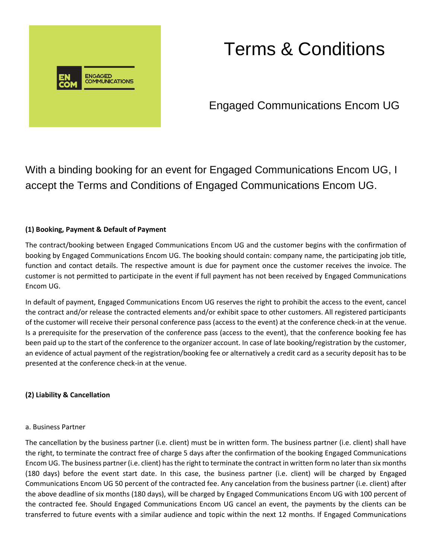

# Terms & Conditions

Engaged Communications Encom UG

With a binding booking for an event for Engaged Communications Encom UG, I accept the Terms and Conditions of Engaged Communications Encom UG.

# **(1) Booking, Payment & Default of Payment**

The contract/booking between Engaged Communications Encom UG and the customer begins with the confirmation of booking by Engaged Communications Encom UG. The booking should contain: company name, the participating job title, function and contact details. The respective amount is due for payment once the customer receives the invoice. The customer is not permitted to participate in the event if full payment has not been received by Engaged Communications Encom UG.

In default of payment, Engaged Communications Encom UG reserves the right to prohibit the access to the event, cancel the contract and/or release the contracted elements and/or exhibit space to other customers. All registered participants of the customer will receive their personal conference pass (access to the event) at the conference check-in at the venue. Is a prerequisite for the preservation of the conference pass (access to the event), that the conference booking fee has been paid up to the start of the conference to the organizer account. In case of late booking/registration by the customer, an evidence of actual payment of the registration/booking fee or alternatively a credit card as a security deposit has to be presented at the conference check-in at the venue.

# **(2) Liability & Cancellation**

#### a. Business Partner

The cancellation by the business partner (i.e. client) must be in written form. The business partner (i.e. client) shall have the right, to terminate the contract free of charge 5 days after the confirmation of the booking Engaged Communications Encom UG. The business partner (i.e. client) has the right to terminate the contract in written form no later than six months (180 days) before the event start date. In this case, the business partner (i.e. client) will be charged by Engaged Communications Encom UG 50 percent of the contracted fee. Any cancelation from the business partner (i.e. client) after the above deadline of six months (180 days), will be charged by Engaged Communications Encom UG with 100 percent of the contracted fee. Should Engaged Communications Encom UG cancel an event, the payments by the clients can be transferred to future events with a similar audience and topic within the next 12 months. If Engaged Communications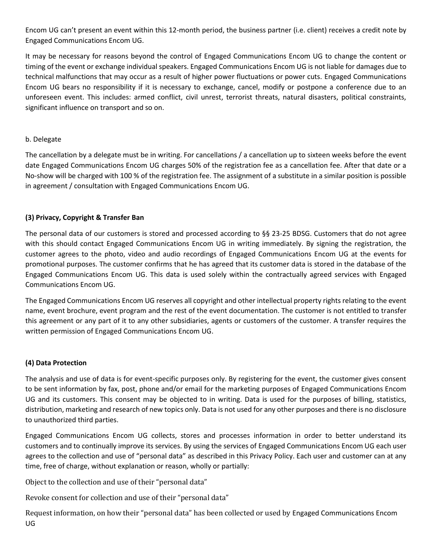Encom UG can't present an event within this 12-month period, the business partner (i.e. client) receives a credit note by Engaged Communications Encom UG.

It may be necessary for reasons beyond the control of Engaged Communications Encom UG to change the content or timing of the event or exchange individual speakers. Engaged Communications Encom UG is not liable for damages due to technical malfunctions that may occur as a result of higher power fluctuations or power cuts. Engaged Communications Encom UG bears no responsibility if it is necessary to exchange, cancel, modify or postpone a conference due to an unforeseen event. This includes: armed conflict, civil unrest, terrorist threats, natural disasters, political constraints, significant influence on transport and so on.

#### b. Delegate

The cancellation by a delegate must be in writing. For cancellations / a cancellation up to sixteen weeks before the event date Engaged Communications Encom UG charges 50% of the registration fee as a cancellation fee. After that date or a No-show will be charged with 100 % of the registration fee. The assignment of a substitute in a similar position is possible in agreement / consultation with Engaged Communications Encom UG.

# **(3) Privacy, Copyright & Transfer Ban**

The personal data of our customers is stored and processed according to §§ 23-25 BDSG. Customers that do not agree with this should contact Engaged Communications Encom UG in writing immediately. By signing the registration, the customer agrees to the photo, video and audio recordings of Engaged Communications Encom UG at the events for promotional purposes. The customer confirms that he has agreed that its customer data is stored in the database of the Engaged Communications Encom UG. This data is used solely within the contractually agreed services with Engaged Communications Encom UG.

The Engaged Communications Encom UG reserves all copyright and other intellectual property rights relating to the event name, event brochure, event program and the rest of the event documentation. The customer is not entitled to transfer this agreement or any part of it to any other subsidiaries, agents or customers of the customer. A transfer requires the written permission of Engaged Communications Encom UG.

# **(4) Data Protection**

The analysis and use of data is for event-specific purposes only. By registering for the event, the customer gives consent to be sent information by fax, post, phone and/or email for the marketing purposes of Engaged Communications Encom UG and its customers. This consent may be objected to in writing. Data is used for the purposes of billing, statistics, distribution, marketing and research of new topics only. Data is not used for any other purposes and there is no disclosure to unauthorized third parties.

Engaged Communications Encom UG collects, stores and processes information in order to better understand its customers and to continually improve its services. By using the services of Engaged Communications Encom UG each user agrees to the collection and use of "personal data" as described in this Privacy Policy. Each user and customer can at any time, free of charge, without explanation or reason, wholly or partially:

Object to the collection and use of their "personal data"

Revoke consent for collection and use of their "personal data"

Request information, on how their "personal data" has been collected or used by Engaged Communications Encom UG